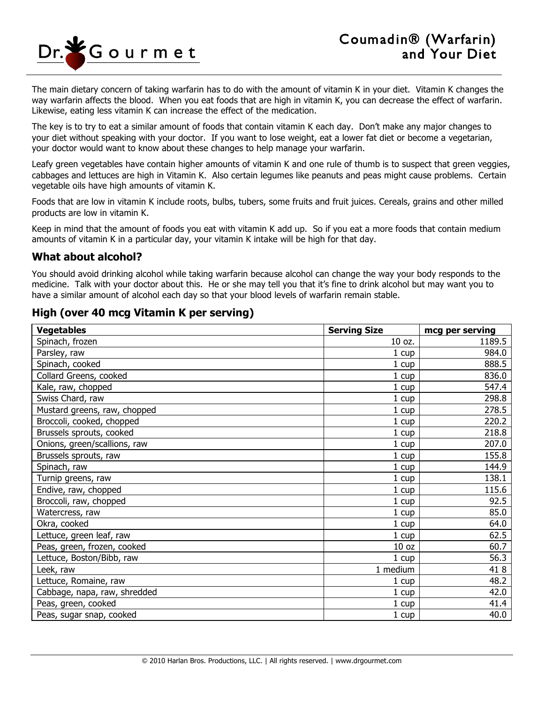

The main dietary concern of taking warfarin has to do with the amount of vitamin K in your diet. Vitamin K changes the way warfarin affects the blood. When you eat foods that are high in vitamin K, you can decrease the effect of warfarin. Likewise, eating less vitamin K can increase the effect of the medication.

The key is to try to eat a similar amount of foods that contain vitamin K each day. Don't make any major changes to your diet without speaking with your doctor. If you want to lose weight, eat a lower fat diet or become a vegetarian, your doctor would want to know about these changes to help manage your warfarin.

Leafy green vegetables have contain higher amounts of vitamin K and one rule of thumb is to suspect that green veggies, cabbages and lettuces are high in Vitamin K. Also certain legumes like peanuts and peas might cause problems. Certain vegetable oils have high amounts of vitamin K.

Foods that are low in vitamin K include roots, bulbs, tubers, some fruits and fruit juices. Cereals, grains and other milled products are low in vitamin K.

Keep in mind that the amount of foods you eat with vitamin K add up. So if you eat a more foods that contain medium amounts of vitamin K in a particular day, your vitamin K intake will be high for that day.

## **What about alcohol?**

You should avoid drinking alcohol while taking warfarin because alcohol can change the way your body responds to the medicine. Talk with your doctor about this. He or she may tell you that it's fine to drink alcohol but may want you to have a similar amount of alcohol each day so that your blood levels of warfarin remain stable.

## **High (over 40 mcg Vitamin K per serving)**

| <b>Vegetables</b>            | <b>Serving Size</b> | mcg per serving |
|------------------------------|---------------------|-----------------|
| Spinach, frozen              | 10 oz.              | 1189.5          |
| Parsley, raw                 | 1 cup               | 984.0           |
| Spinach, cooked              | 1 cup               | 888.5           |
| Collard Greens, cooked       | 1 cup               | 836.0           |
| Kale, raw, chopped           | 1 cup               | 547.4           |
| Swiss Chard, raw             | 1 cup               | 298.8           |
| Mustard greens, raw, chopped | 1 cup               | 278.5           |
| Broccoli, cooked, chopped    | 1 cup               | 220.2           |
| Brussels sprouts, cooked     | $1 \text{ cup}$     | 218.8           |
| Onions, green/scallions, raw | 1 cup               | 207.0           |
| Brussels sprouts, raw        | 1 cup               | 155.8           |
| Spinach, raw                 | 1 cup               | 144.9           |
| Turnip greens, raw           | $1 \text{ cup}$     | 138.1           |
| Endive, raw, chopped         | 1 cup               | 115.6           |
| Broccoli, raw, chopped       | 1 cup               | 92.5            |
| Watercress, raw              | $1 \text{ cup}$     | 85.0            |
| Okra, cooked                 | 1 cup               | 64.0            |
| Lettuce, green leaf, raw     | 1 cup               | 62.5            |
| Peas, green, frozen, cooked  | 10 <sub>oz</sub>    | 60.7            |
| Lettuce, Boston/Bibb, raw    | 1 cup               | 56.3            |
| Leek, raw                    | 1 medium            | 418             |
| Lettuce, Romaine, raw        | 1 cup               | 48.2            |
| Cabbage, napa, raw, shredded | $1 \text{ cup}$     | 42.0            |
| Peas, green, cooked          | 1 cup               | 41.4            |
| Peas, sugar snap, cooked     | 1 cup               | 40.0            |